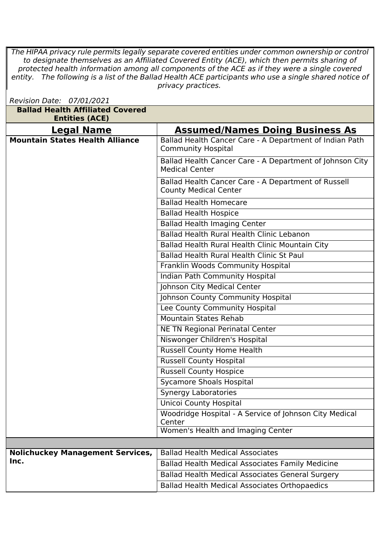*The HIPAA privacy rule permits legally separate covered entities under common ownership or control to designate themselves as an Affiliated Covered Entity (ACE), which then permits sharing of protected health information among all components of the ACE as if they were a single covered* entity. The following is a list of the Ballad Health ACE participants who use a single shared notice of | *privacy practices.Revision Date: 07/01/2021*

| Revision Date: 07/01/2021                                        |                                                                                      |
|------------------------------------------------------------------|--------------------------------------------------------------------------------------|
| <b>Ballad Health Affiliated Covered</b><br><b>Entities (ACE)</b> |                                                                                      |
| <b>Legal Name</b>                                                | <b>Assumed/Names Doing Business As</b>                                               |
| <b>Mountain States Health Alliance</b>                           | Ballad Health Cancer Care - A Department of Indian Path<br><b>Community Hospital</b> |
|                                                                  | Ballad Health Cancer Care - A Department of Johnson City<br><b>Medical Center</b>    |
|                                                                  | Ballad Health Cancer Care - A Department of Russell<br><b>County Medical Center</b>  |
|                                                                  | <b>Ballad Health Homecare</b>                                                        |
|                                                                  | <b>Ballad Health Hospice</b>                                                         |
|                                                                  | <b>Ballad Health Imaging Center</b>                                                  |
|                                                                  | Ballad Health Rural Health Clinic Lebanon                                            |
|                                                                  | Ballad Health Rural Health Clinic Mountain City                                      |
|                                                                  | Ballad Health Rural Health Clinic St Paul                                            |
|                                                                  | Franklin Woods Community Hospital                                                    |
|                                                                  | <b>Indian Path Community Hospital</b>                                                |
|                                                                  | Johnson City Medical Center                                                          |
|                                                                  | Johnson County Community Hospital                                                    |
|                                                                  | Lee County Community Hospital                                                        |
|                                                                  | <b>Mountain States Rehab</b>                                                         |
|                                                                  | NE TN Regional Perinatal Center                                                      |
|                                                                  | Niswonger Children's Hospital                                                        |
|                                                                  | <b>Russell County Home Health</b>                                                    |
|                                                                  | <b>Russell County Hospital</b>                                                       |
|                                                                  | <b>Russell County Hospice</b>                                                        |
|                                                                  | <b>Sycamore Shoals Hospital</b>                                                      |
|                                                                  | <b>Synergy Laboratories</b>                                                          |
|                                                                  | <b>Unicoi County Hospital</b>                                                        |
|                                                                  | Woodridge Hospital - A Service of Johnson City Medical<br>Center                     |
|                                                                  | Women's Health and Imaging Center                                                    |
|                                                                  |                                                                                      |
| <b>Nolichuckey Management Services,</b>                          | <b>Ballad Health Medical Associates</b>                                              |
| Inc.                                                             | <b>Ballad Health Medical Associates Family Medicine</b>                              |
|                                                                  | <b>Ballad Health Medical Associates General Surgery</b>                              |
|                                                                  | <b>Ballad Health Medical Associates Orthopaedics</b>                                 |
|                                                                  |                                                                                      |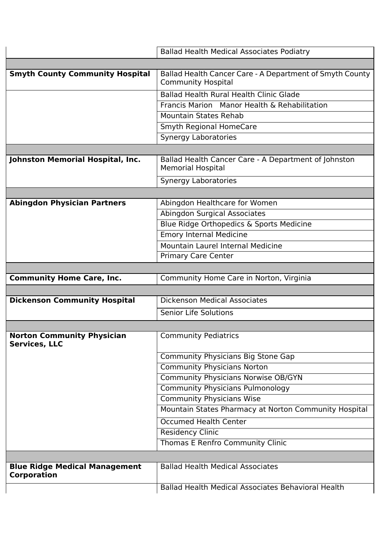|                                                            | <b>Ballad Health Medical Associates Podiatry</b>                                      |
|------------------------------------------------------------|---------------------------------------------------------------------------------------|
|                                                            |                                                                                       |
| <b>Smyth County Community Hospital</b>                     | Ballad Health Cancer Care - A Department of Smyth County<br><b>Community Hospital</b> |
|                                                            | <b>Ballad Health Rural Health Clinic Glade</b>                                        |
|                                                            | Francis Marion Manor Health & Rehabilitation                                          |
|                                                            | <b>Mountain States Rehab</b>                                                          |
|                                                            | <b>Smyth Regional HomeCare</b>                                                        |
|                                                            | <b>Synergy Laboratories</b>                                                           |
|                                                            |                                                                                       |
| Johnston Memorial Hospital, Inc.                           | Ballad Health Cancer Care - A Department of Johnston<br><b>Memorial Hospital</b>      |
|                                                            | <b>Synergy Laboratories</b>                                                           |
|                                                            |                                                                                       |
| <b>Abingdon Physician Partners</b>                         | Abingdon Healthcare for Women                                                         |
|                                                            | Abingdon Surgical Associates                                                          |
|                                                            | Blue Ridge Orthopedics & Sports Medicine                                              |
|                                                            | <b>Emory Internal Medicine</b>                                                        |
|                                                            | Mountain Laurel Internal Medicine                                                     |
|                                                            | <b>Primary Care Center</b>                                                            |
|                                                            |                                                                                       |
| <b>Community Home Care, Inc.</b>                           | Community Home Care in Norton, Virginia                                               |
|                                                            |                                                                                       |
| <b>Dickenson Community Hospital</b>                        | <b>Dickenson Medical Associates</b>                                                   |
|                                                            | Senior Life Solutions                                                                 |
|                                                            |                                                                                       |
| <b>Norton Community Physician</b><br><b>Services, LLC</b>  | <b>Community Pediatrics</b>                                                           |
|                                                            | Community Physicians Big Stone Gap                                                    |
|                                                            | <b>Community Physicians Norton</b>                                                    |
|                                                            | <b>Community Physicians Norwise OB/GYN</b>                                            |
|                                                            | <b>Community Physicians Pulmonology</b>                                               |
|                                                            | <b>Community Physicians Wise</b>                                                      |
|                                                            | Mountain States Pharmacy at Norton Community Hospital                                 |
|                                                            | <b>Occumed Health Center</b>                                                          |
|                                                            | <b>Residency Clinic</b>                                                               |
|                                                            | Thomas E Renfro Community Clinic                                                      |
|                                                            |                                                                                       |
| <b>Blue Ridge Medical Management</b><br><b>Corporation</b> | <b>Ballad Health Medical Associates</b>                                               |
|                                                            | Ballad Health Medical Associates Behavioral Health                                    |
|                                                            |                                                                                       |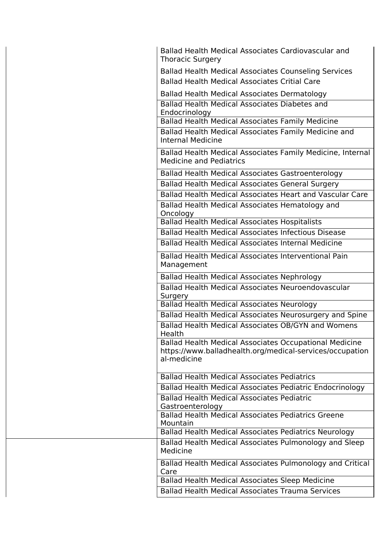| Ballad Health Medical Associates Cardiovascular and<br><b>Thoracic Surgery</b>                                                    |  |
|-----------------------------------------------------------------------------------------------------------------------------------|--|
| <b>Ballad Health Medical Associates Counseling Services</b>                                                                       |  |
| <b>Ballad Health Medical Associates Critial Care</b>                                                                              |  |
| Ballad Health Medical Associates Dermatology                                                                                      |  |
| Ballad Health Medical Associates Diabetes and<br>Endocrinology                                                                    |  |
| <b>Ballad Health Medical Associates Family Medicine</b>                                                                           |  |
| Ballad Health Medical Associates Family Medicine and<br><b>Internal Medicine</b>                                                  |  |
| Ballad Health Medical Associates Family Medicine, Internal<br><b>Medicine and Pediatrics</b>                                      |  |
| <b>Ballad Health Medical Associates Gastroenterology</b>                                                                          |  |
| Ballad Health Medical Associates General Surgery                                                                                  |  |
| Ballad Health Medical Associates Heart and Vascular Care                                                                          |  |
| Ballad Health Medical Associates Hematology and<br>Oncology                                                                       |  |
| <b>Ballad Health Medical Associates Hospitalists</b>                                                                              |  |
| <b>Ballad Health Medical Associates Infectious Disease</b>                                                                        |  |
| <b>Ballad Health Medical Associates Internal Medicine</b>                                                                         |  |
| Ballad Health Medical Associates Interventional Pain<br>Management                                                                |  |
| Ballad Health Medical Associates Nephrology                                                                                       |  |
| Ballad Health Medical Associates Neuroendovascular                                                                                |  |
| Surgery                                                                                                                           |  |
| <b>Ballad Health Medical Associates Neurology</b>                                                                                 |  |
| Ballad Health Medical Associates Neurosurgery and Spine                                                                           |  |
| Ballad Health Medical Associates OB/GYN and Womens<br>Health                                                                      |  |
| Ballad Health Medical Associates Occupational Medicine<br>https://www.balladhealth.org/medical-services/occupation<br>al-medicine |  |
| <b>Ballad Health Medical Associates Pediatrics</b>                                                                                |  |
| Ballad Health Medical Associates Pediatric Endocrinology                                                                          |  |
| <b>Ballad Health Medical Associates Pediatric</b>                                                                                 |  |
| Gastroenterology                                                                                                                  |  |
| <b>Ballad Health Medical Associates Pediatrics Greene</b><br>Mountain                                                             |  |
| Ballad Health Medical Associates Pediatrics Neurology                                                                             |  |
| Ballad Health Medical Associates Pulmonology and Sleep<br>Medicine                                                                |  |
| Ballad Health Medical Associates Pulmonology and Critical<br>Care                                                                 |  |
| <b>Ballad Health Medical Associates Sleep Medicine</b>                                                                            |  |
| <b>Ballad Health Medical Associates Trauma Services</b>                                                                           |  |
|                                                                                                                                   |  |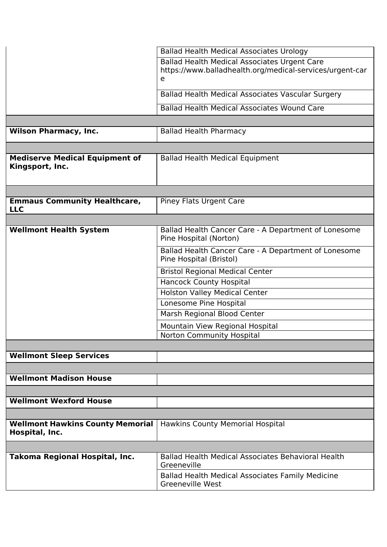|                                                           | <b>Ballad Health Medical Associates Urology</b>                                                                      |
|-----------------------------------------------------------|----------------------------------------------------------------------------------------------------------------------|
|                                                           | <b>Ballad Health Medical Associates Urgent Care</b><br>https://www.balladhealth.org/medical-services/urgent-car<br>e |
|                                                           | Ballad Health Medical Associates Vascular Surgery                                                                    |
|                                                           | <b>Ballad Health Medical Associates Wound Care</b>                                                                   |
|                                                           |                                                                                                                      |
| <b>Wilson Pharmacy, Inc.</b>                              | <b>Ballad Health Pharmacy</b>                                                                                        |
|                                                           |                                                                                                                      |
| <b>Mediserve Medical Equipment of</b><br>Kingsport, Inc.  | <b>Ballad Health Medical Equipment</b>                                                                               |
|                                                           |                                                                                                                      |
| <b>Emmaus Community Healthcare,</b><br><b>LLC</b>         | Piney Flats Urgent Care                                                                                              |
|                                                           |                                                                                                                      |
| <b>Wellmont Health System</b>                             | Ballad Health Cancer Care - A Department of Lonesome<br>Pine Hospital (Norton)                                       |
|                                                           | Ballad Health Cancer Care - A Department of Lonesome<br>Pine Hospital (Bristol)                                      |
|                                                           | <b>Bristol Regional Medical Center</b>                                                                               |
|                                                           | <b>Hancock County Hospital</b>                                                                                       |
|                                                           | <b>Holston Valley Medical Center</b>                                                                                 |
|                                                           | Lonesome Pine Hospital                                                                                               |
|                                                           | Marsh Regional Blood Center                                                                                          |
|                                                           | Mountain View Regional Hospital                                                                                      |
|                                                           | Norton Community Hospital                                                                                            |
|                                                           |                                                                                                                      |
| <b>Wellmont Sleep Services</b>                            |                                                                                                                      |
|                                                           |                                                                                                                      |
| <b>Wellmont Madison House</b>                             |                                                                                                                      |
|                                                           |                                                                                                                      |
| <b>Wellmont Wexford House</b>                             |                                                                                                                      |
|                                                           |                                                                                                                      |
| <b>Wellmont Hawkins County Memorial</b><br>Hospital, Inc. | <b>Hawkins County Memorial Hospital</b>                                                                              |
|                                                           |                                                                                                                      |
| Takoma Regional Hospital, Inc.                            | Ballad Health Medical Associates Behavioral Health<br>Greeneville                                                    |
|                                                           | <b>Ballad Health Medical Associates Family Medicine</b><br><b>Greeneville West</b>                                   |
|                                                           |                                                                                                                      |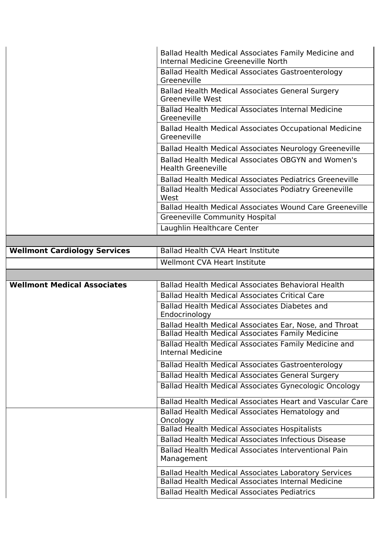| Ballad Health Medical Associates Family Medicine and<br>Internal Medicine Greeneville North |
|---------------------------------------------------------------------------------------------|
| Ballad Health Medical Associates Gastroenterology<br>Greeneville                            |
| Ballad Health Medical Associates General Surgery<br>Greeneville West                        |
| <b>Ballad Health Medical Associates Internal Medicine</b><br>Greeneville                    |
| Ballad Health Medical Associates Occupational Medicine<br>Greeneville                       |
| Ballad Health Medical Associates Neurology Greeneville                                      |
| Ballad Health Medical Associates OBGYN and Women's<br><b>Health Greeneville</b>             |
| <b>Ballad Health Medical Associates Pediatrics Greeneville</b>                              |
| <b>Ballad Health Medical Associates Podiatry Greeneville</b><br>West                        |
| <b>Ballad Health Medical Associates Wound Care Greeneville</b>                              |
| <b>Greeneville Community Hospital</b>                                                       |
| Laughlin Healthcare Center                                                                  |

| <b>Wellmont Cardiology Services</b> | Ballad Health CVA Heart Institute |
|-------------------------------------|-----------------------------------|
|                                     | Wellmont CVA Heart Institute      |

| <b>Wellmont Medical Associates</b> | <b>Ballad Health Medical Associates Behavioral Health</b>                 |
|------------------------------------|---------------------------------------------------------------------------|
|                                    | <b>Ballad Health Medical Associates Critical Care</b>                     |
|                                    | Ballad Health Medical Associates Diabetes and                             |
|                                    | Endocrinology                                                             |
|                                    | Ballad Health Medical Associates Ear, Nose, and Throat                    |
|                                    | <b>Ballad Health Medical Associates Family Medicine</b>                   |
|                                    | Ballad Health Medical Associates Family Medicine and<br>Internal Medicine |
|                                    | <b>Ballad Health Medical Associates Gastroenterology</b>                  |
|                                    | Ballad Health Medical Associates General Surgery                          |
|                                    | Ballad Health Medical Associates Gynecologic Oncology                     |
|                                    | Ballad Health Medical Associates Heart and Vascular Care                  |
|                                    | Ballad Health Medical Associates Hematology and                           |
|                                    | Oncology                                                                  |
|                                    | <b>Ballad Health Medical Associates Hospitalists</b>                      |
|                                    | <b>Ballad Health Medical Associates Infectious Disease</b>                |
|                                    | Ballad Health Medical Associates Interventional Pain                      |
|                                    | Management                                                                |
|                                    | <b>Ballad Health Medical Associates Laboratory Services</b>               |
|                                    | <b>Ballad Health Medical Associates Internal Medicine</b>                 |
|                                    | <b>Ballad Health Medical Associates Pediatrics</b>                        |
|                                    |                                                                           |